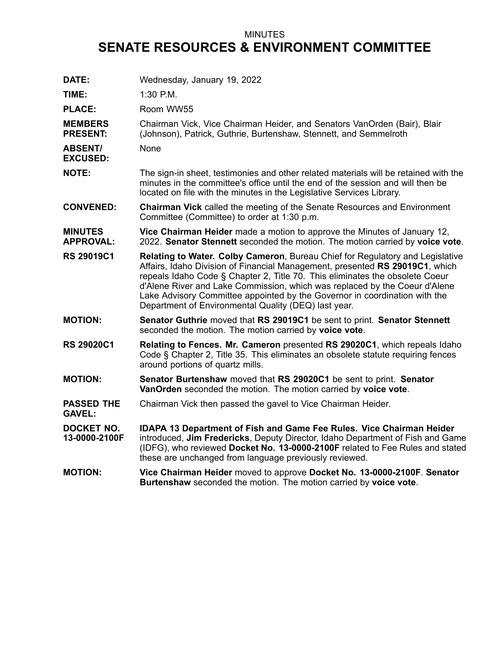## MINUTES **SENATE RESOURCES & ENVIRONMENT COMMITTEE**

| DATE:                              | Wednesday, January 19, 2022                                                                                                                                                                                                                                                                                                                                                                                                                                              |
|------------------------------------|--------------------------------------------------------------------------------------------------------------------------------------------------------------------------------------------------------------------------------------------------------------------------------------------------------------------------------------------------------------------------------------------------------------------------------------------------------------------------|
| TIME:                              | 1:30 P.M.                                                                                                                                                                                                                                                                                                                                                                                                                                                                |
| <b>PLACE:</b>                      | Room WW55                                                                                                                                                                                                                                                                                                                                                                                                                                                                |
| <b>MEMBERS</b><br><b>PRESENT:</b>  | Chairman Vick, Vice Chairman Heider, and Senators VanOrden (Bair), Blair<br>(Johnson), Patrick, Guthrie, Burtenshaw, Stennett, and Semmelroth                                                                                                                                                                                                                                                                                                                            |
| <b>ABSENT/</b><br><b>EXCUSED:</b>  | None                                                                                                                                                                                                                                                                                                                                                                                                                                                                     |
| <b>NOTE:</b>                       | The sign-in sheet, testimonies and other related materials will be retained with the<br>minutes in the committee's office until the end of the session and will then be<br>located on file with the minutes in the Legislative Services Library.                                                                                                                                                                                                                         |
| <b>CONVENED:</b>                   | Chairman Vick called the meeting of the Senate Resources and Environment<br>Committee (Committee) to order at 1:30 p.m.                                                                                                                                                                                                                                                                                                                                                  |
| <b>MINUTES</b><br><b>APPROVAL:</b> | Vice Chairman Heider made a motion to approve the Minutes of January 12,<br>2022. Senator Stennett seconded the motion. The motion carried by voice vote.                                                                                                                                                                                                                                                                                                                |
| <b>RS 29019C1</b>                  | <b>Relating to Water. Colby Cameron, Bureau Chief for Regulatory and Legislative</b><br>Affairs, Idaho Division of Financial Management, presented RS 29019C1, which<br>repeals Idaho Code § Chapter 2, Title 70. This eliminates the obsolete Coeur<br>d'Alene River and Lake Commission, which was replaced by the Coeur d'Alene<br>Lake Advisory Committee appointed by the Governor in coordination with the<br>Department of Environmental Quality (DEQ) last year. |
| <b>MOTION:</b>                     | Senator Guthrie moved that RS 29019C1 be sent to print. Senator Stennett<br>seconded the motion. The motion carried by voice vote.                                                                                                                                                                                                                                                                                                                                       |
| <b>RS 29020C1</b>                  | Relating to Fences. Mr. Cameron presented RS 29020C1, which repeals Idaho<br>Code § Chapter 2, Title 35. This eliminates an obsolete statute requiring fences<br>around portions of quartz mills.                                                                                                                                                                                                                                                                        |
| <b>MOTION:</b>                     | Senator Burtenshaw moved that RS 29020C1 be sent to print. Senator<br>VanOrden seconded the motion. The motion carried by voice vote.                                                                                                                                                                                                                                                                                                                                    |
| <b>PASSED THE</b><br><b>GAVEL:</b> | Chairman Vick then passed the gavel to Vice Chairman Heider.                                                                                                                                                                                                                                                                                                                                                                                                             |
| <b>DOCKET NO.</b><br>13-0000-2100F | IDAPA 13 Department of Fish and Game Fee Rules. Vice Chairman Heider<br>introduced, Jim Fredericks, Deputy Director, Idaho Department of Fish and Game<br>(IDFG), who reviewed Docket No. 13-0000-2100F related to Fee Rules and stated<br>these are unchanged from language previously reviewed.                                                                                                                                                                        |
| <b>MOTION:</b>                     | Vice Chairman Heider moved to approve Docket No. 13-0000-2100F. Senator<br>Burtenshaw seconded the motion. The motion carried by voice vote.                                                                                                                                                                                                                                                                                                                             |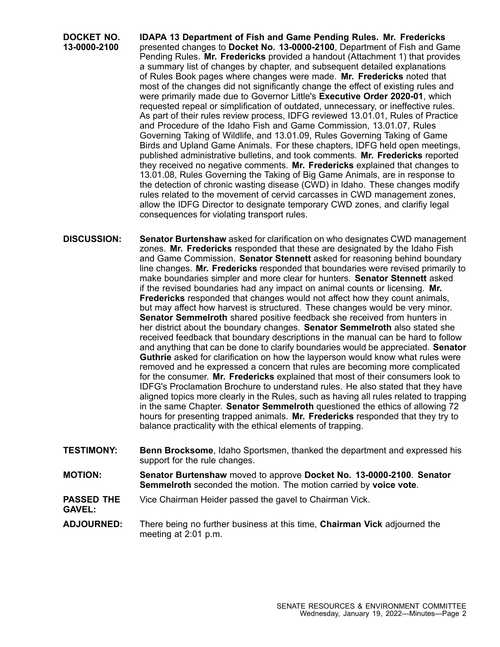**DOCKET NO. 13-0000-2100 IDAPA 13 Department of Fish and Game Pending Rules. Mr. Fredericks** presented changes to **Docket No. 13-0000-2100**, Department of Fish and Game Pending Rules. **Mr. Fredericks** provided <sup>a</sup> handout (Attachment 1) that provides <sup>a</sup> summary list of changes by chapter, and subsequent detailed explanations of Rules Book pages where changes were made. **Mr. Fredericks** noted that most of the changes did not significantly change the effect of existing rules and were primarily made due to Governor Little's **Executive Order 2020-01**, which requested repeal or simplification of outdated, unnecessary, or ineffective rules. As part of their rules review process, IDFG reviewed 13.01.01, Rules of Practice and Procedure of the Idaho Fish and Game Commission, 13.01.07, Rules Governing Taking of Wildlife, and 13.01.09, Rules Governing Taking of Game Birds and Upland Game Animals. For these chapters, IDFG held open meetings, published administrative bulletins, and took comments. **Mr. Fredericks** reported they received no negative comments. **Mr. Fredericks** explained that changes to 13.01.08, Rules Governing the Taking of Big Game Animals, are in response to the detection of chronic wasting disease (CWD) in Idaho. These changes modify rules related to the movement of cervid carcasses in CWD management zones, allow the IDFG Director to designate temporary CWD zones, and clarifiy legal consequences for violating transport rules.

**DISCUSSION: Senator Burtenshaw** asked for clarification on who designates CWD management zones. **Mr. Fredericks** responded that these are designated by the Idaho Fish and Game Commission. **Senator Stennett** asked for reasoning behind boundary line changes. **Mr. Fredericks** responded that boundaries were revised primarily to make boundaries simpler and more clear for hunters. **Senator Stennett** asked if the revised boundaries had any impact on animal counts or licensing. **Mr. Fredericks** responded that changes would not affect how they count animals, but may affect how harvest is structured. These changes would be very minor. **Senator Semmelroth** shared positive feedback she received from hunters in her district about the boundary changes. **Senator Semmelroth** also stated she received feedback that boundary descriptions in the manual can be hard to follow and anything that can be done to clarify boundaries would be appreciated. **Senator Guthrie** asked for clarification on how the layperson would know what rules were removed and he expressed <sup>a</sup> concern that rules are becoming more complicated for the consumer. **Mr. Fredericks** explained that most of their consumers look to IDFG's Proclamation Brochure to understand rules. He also stated that they have aligned topics more clearly in the Rules, such as having all rules related to trapping in the same Chapter. **Senator Semmelroth** questioned the ethics of allowing 72 hours for presenting trapped animals. **Mr. Fredericks** responded that they try to balance practicality with the ethical elements of trapping.

- **TESTIMONY: Benn Brocksome**, Idaho Sportsmen, thanked the department and expressed his support for the rule changes.
- **MOTION: Senator Burtenshaw** moved to approve **Docket No. 13-0000-2100**. **Senator Semmelroth** seconded the motion. The motion carried by **voice vote**.
- **PASSED THE** Vice Chairman Heider passed the gavel to Chairman Vick.

**GAVEL:**

**ADJOURNED:** There being no further business at this time, **Chairman Vick** adjourned the meeting at 2:01 p.m.